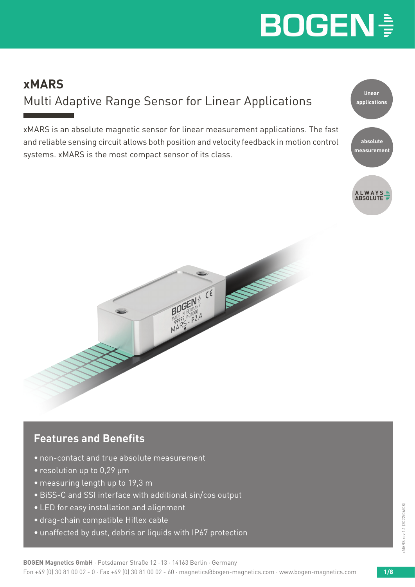### **xMARS**  Multi Adaptive Range Sensor for Linear Applications

xMARS is an absolute magnetic sensor for linear measurement applications. The fast and reliable sensing circuit allows both position and velocity feedback in motion control systems. xMARS is the most compact sensor of its class.





### **Features and Benefits**

- non-contact and true absolute measurement
- resolution up to 0,29 µm
- measuring length up to 19,3 m
- BiSS-C and SSI interface with additional sin/cos output
- LED for easy installation and alignment
- drag-chain compatible Hiflex cable
- unaffected by dust, debris or liquids with IP67 protection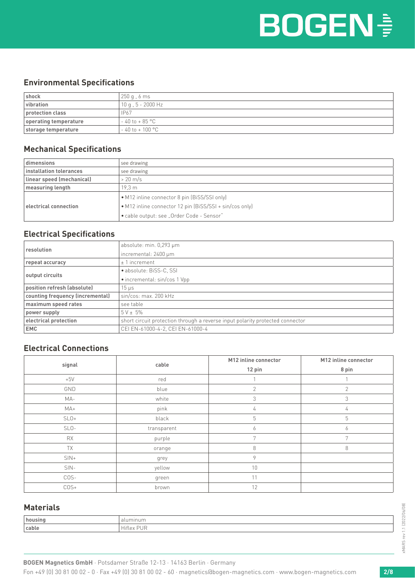### **BOGEN<sup>®</sup>**

#### **Environmental Specifications**

| shock                 | 250q, 6ms               |  |
|-----------------------|-------------------------|--|
| vibration             | $10q, 5 - 2000 Hz$      |  |
| protection class      | IP67                    |  |
| operating temperature | $-40$ to + 85 °C        |  |
| storage temperature   | $-40$ to $+100$ °C $\,$ |  |

#### **Mechanical Specifications**

| dimensions                | see drawing                                             |  |
|---------------------------|---------------------------------------------------------|--|
| installation tolerances   | see drawing                                             |  |
| linear speed (mechanical) | $>20 \text{ m/s}$                                       |  |
| measuring length          | 19.3 m                                                  |  |
|                           | • M12 inline connector 8 pin (BiSS/SSI only)            |  |
| electrical connection     | • M12 inline connector 12 pin (BiSS/SSI + sin/cos only) |  |
|                           | • cable output: see "Order Code - Sensor"               |  |

#### **Electrical Specifications**

| resolution                                                                                             | absolute: min. 0,293 µm          |
|--------------------------------------------------------------------------------------------------------|----------------------------------|
|                                                                                                        | incremental: 2400 µm             |
| repeat accuracy                                                                                        | $± 1$ increment                  |
| output circuits                                                                                        | · absolute: BiSS-C, SSI          |
|                                                                                                        | • incremental: sin/cos 1 Vpp     |
| position refresh (absolute)                                                                            | $15 \mu s$                       |
| counting frequency (incremental)                                                                       | sin/cos: max. 200 kHz            |
| maximum speed rates                                                                                    | see table                        |
| $5 V + 5\%$<br>power supply                                                                            |                                  |
| electrical protection<br>short circuit protection through a reverse input polarity protected connector |                                  |
| <b>EMC</b>                                                                                             | CEI EN-61000-4-2, CEI EN-61000-4 |

### **Electrical Connections**

| signal    | cable       | M12 inline connector | M12 inline connector |
|-----------|-------------|----------------------|----------------------|
|           |             | 12 pin               | 8 pin                |
| $+5V$     | red         |                      |                      |
| GND       | blue        | $\overline{2}$       | 2                    |
| MA-       | white       | 3                    | 3                    |
| $MA+$     | pink        | 4                    | 4                    |
| $SLO+$    | black       | 5                    | 5                    |
| $SLO-$    | transparent | 6                    | 6                    |
| <b>RX</b> | purple      | $\overline{7}$       | 7                    |
| TX        | orange      | 8                    | 8                    |
| $SIN +$   | grey        | 9                    |                      |
| $SIN-$    | yellow      | 10                   |                      |
| COS-      | green       | 11                   |                      |
| $COS+$    | brown       | 12                   |                      |

#### **Materials**

| housin<br>umınum<br>dι |       |        |
|------------------------|-------|--------|
|                        |       |        |
| Hitlex<br>'UΓ          | cable | $\Box$ |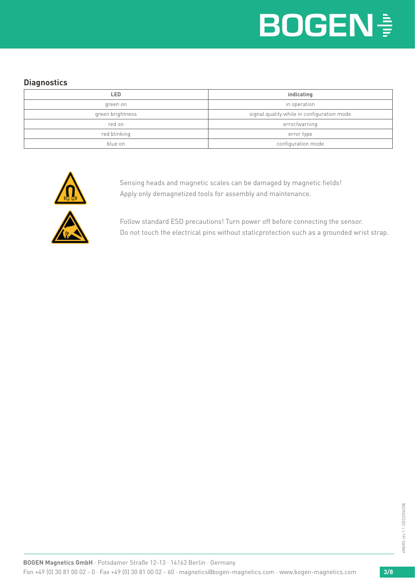#### **Diagnostics**

| LED              | indicating                                 |
|------------------|--------------------------------------------|
| green on         | in operation                               |
| green brightness | signal quality while in configuration mode |
| red on           | error/warning                              |
| red blinking     | error type                                 |
| blue on          | configuration mode                         |



Sensing heads and magnetic scales can be damaged by magnetic fields! Apply only demagnetized tools for assembly and maintenance.

Follow standard ESD precautions! Turn power off before connecting the sensor. Do not touch the electrical pins without staticprotection such as a grounded wrist strap.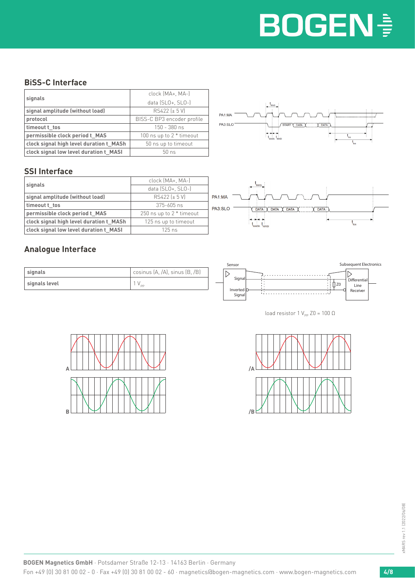#### **BiSS-C Interface**

|                                         | clock (MA+, MA-)           |
|-----------------------------------------|----------------------------|
| signals                                 | data (SLO+, SLO-)          |
| signal amplitude (without load)         | $RS422 (\pm 5 V)$          |
| protocol                                | BISS-C BP3 encoder profile |
| timeout t tos                           | $150 - 380$ ns             |
| permissible clock period t MAS          | 100 ns up to 2 * timeout   |
| clock signal high level duration t MASh | 50 ns up to timeout        |
| clock signal low level duration t MASI  | $50$ ns                    |



#### **SSI Interface**

|                                         | clock (MA+, MA-)         |
|-----------------------------------------|--------------------------|
| signals                                 | data (SLO+, SLO-)        |
| signal amplitude (without load)         | RS422 (± 5 V)            |
| timeout t tos                           | $375 - 605$ ns           |
| permissible clock period t MAS          | 250 ns up to 2 * timeout |
| clock signal high level duration t MASh | 125 ns up to timeout     |
| clock signal low level duration t MASI  | 125ns                    |



### **Analogue Interface**

| signals       | cosinus (A, /A), sinus (B, /B) |
|---------------|--------------------------------|
| signals level |                                |



load resistor 1 V<sub>PP</sub> Z0 = 100 Ω



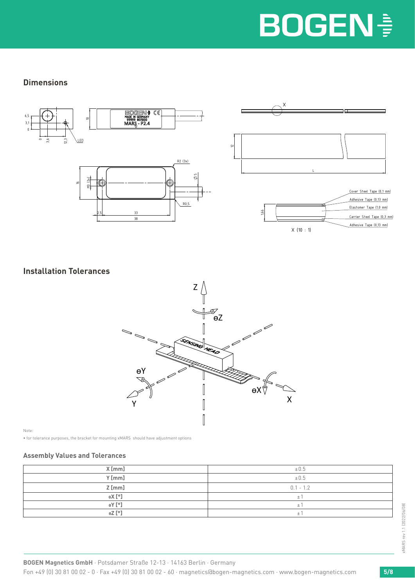

#### **Dimensions**



**Installation Tolerances**



Note:

• for tolerance purposes, the bracket for mounting xMARS should have adjustment options

#### **Assembly Values and Tolerances**

| $X$ [mm] | $\pm 0.5$   |
|----------|-------------|
| $Y$ [mm] | ±0.5        |
| Z [mm]   | $0.1 - 1.2$ |
| $eX$ [°] | $+$         |
| $eY$ [°] | ÷           |
| $eZ$ [°] | ÷           |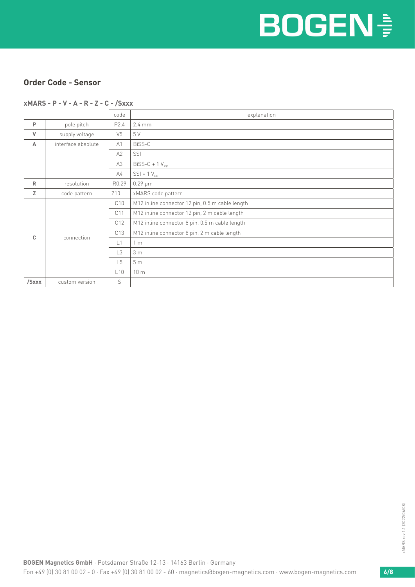#### **Order Code - Sensor**

|                         |                | code                | explanation                                     |
|-------------------------|----------------|---------------------|-------------------------------------------------|
| P                       | pole pitch     | P2.4                | 2.4 mm                                          |
| V                       | supply voltage | V <sub>5</sub>      | 5 V                                             |
| interface absolute<br>A |                | A1                  | BiSS-C                                          |
|                         |                | A2                  | SSI                                             |
|                         |                | A <sub>3</sub>      | $BISS-C + 1 V_{pp}$                             |
|                         |                | $\mathsf{A}4$       | $SSI + 1 V_{pp}$                                |
| R                       | resolution     | R <sub>0.29</sub>   | $0.29 \mu m$                                    |
| z                       | code pattern   | Z10                 | xMARS code pattern                              |
|                         | connection     | C10                 | M12 inline connector 12 pin, 0.5 m cable length |
|                         |                | C <sub>11</sub>     | M12 inline connector 12 pin, 2 m cable length   |
| C.                      |                | C12                 | M12 inline connector 8 pin, 0.5 m cable length  |
|                         |                | C <sub>13</sub>     | M12 inline connector 8 pin, 2 m cable length    |
|                         |                | $\lfloor 1 \rfloor$ | 1 <sub>m</sub>                                  |
|                         |                | $\overline{3}$      | 3 <sub>m</sub>                                  |
|                         |                | L <sub>5</sub>      | 5m                                              |
|                         |                | L10                 | 10 <sub>m</sub>                                 |
| /Sxxx                   | custom version | S                   |                                                 |

#### **xMARS - P - V - A - R - Z - C - /Sxxx**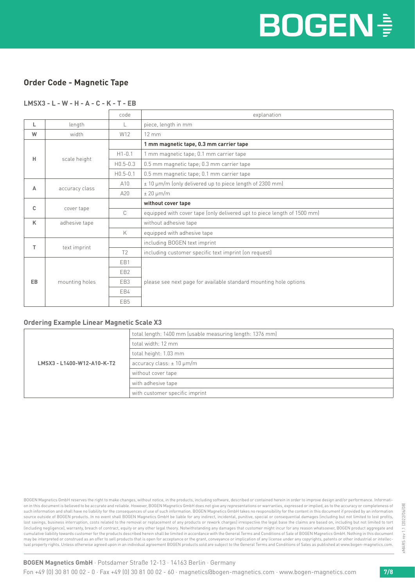#### **Order Code - Magnetic Tape**

#### **LMSX3 - L - W - H - A - C - K - T - EB**

|    |                 | code            | explanation                                                              |
|----|-----------------|-----------------|--------------------------------------------------------------------------|
| L  | length          | L               | piece, length in mm                                                      |
| W  | width           | W12             | $12 \, \text{mm}$                                                        |
|    |                 |                 | 1 mm magnetic tape, 0.3 mm carrier tape                                  |
| н  |                 | $H1 - 0.1$      | 1 mm magnetic tape; 0.1 mm carrier tape                                  |
|    | scale height    | $H0.5 - 0.3$    | 0.5 mm magnetic tape; 0.3 mm carrier tape                                |
|    |                 | $H0.5 - 0.1$    | 0.5 mm magnetic tape; 0.1 mm carrier tape                                |
| A  |                 | A10             | ± 10 µm/m (only delivered up to piece length of 2300 mm)                 |
|    | accuracy class  | A20             | $\pm 20 \mu m/m$                                                         |
|    | C<br>cover tape |                 | without cover tape                                                       |
|    |                 | $\mathbb{C}$    | equipped with cover tape (only delivered upt to piece length of 1500 mm) |
| K  | adhesive tape   |                 | without adhesive tape                                                    |
|    |                 | K               | equipped with adhesive tape                                              |
| T. |                 |                 | including BOGEN text imprint                                             |
|    | text imprint    | T <sub>2</sub>  | including customer specific text imprint (on request)                    |
|    | mounting holes  | EB1             |                                                                          |
| EB |                 | FB <sub>2</sub> |                                                                          |
|    |                 | EB <sub>3</sub> | please see next page for available standard mounting hole options        |
|    |                 | EB4             |                                                                          |
|    |                 | EB <sub>5</sub> |                                                                          |

#### **Ordering Example Linear Magnetic Scale X3**

| LMSX3 - L1400-W12-A10-K-T2 | total length: 1400 mm (usable measuring length: 1376 mm) |
|----------------------------|----------------------------------------------------------|
|                            | total width: 12 mm                                       |
|                            | total height: 1.03 mm                                    |
|                            | $accuracy class: \pm 10 \mu m/m$                         |
|                            | without cover tape                                       |
|                            | with adhesive tape                                       |
|                            | with customer specific imprint                           |

BOGEN Magnetics GmbH reserves the right to make changes, without notice, in the products, including software, described or contained herein in order to improve design and/or performance. Information in this document is believed to be accurate and reliable. However, BOGEN Magnetics GmbH does not give any representations or warranties, expressed or implied, as to the accuracy or completeness of such information and shall have no liability for the consequences of use of such information. BOGEN Magnetics GmbH takes no responsibility for the content in this document if provided by an information source outside of BOGEN products. In no event shall BOGEN Magnetics GmbH be liable for any indirect, incidental, punitive, special or consequential damages (including but not limited to lost profits, lost savings, business interruption, costs related to the removal or replacement of any products or rework charges) irrespective the legal base the claims are based on, including but not limited to tort (including negligence), warranty, breach of contract, equity or any other legal theory. Notwithstanding any damages that customer might incur for any reason whatsoever, BOGEN product aggregate and cumulative liability towards customer for the products described herein shall be limited in accordance with the General Terms and Conditions of Sale of BOGEN Magnetics GmbH. Nothing in this document may be interpreted or construed as an offer to sell products that is open for acceptance or the grant, conveyance or implication of any license under any copyrights, patents or other industrial or intellectual property rights. Unless otherwise agreed upon in an individual agreement BOGEN products sold are subject to the General Terms and Conditions of Sales as published at www.bogen-magnetics.com.